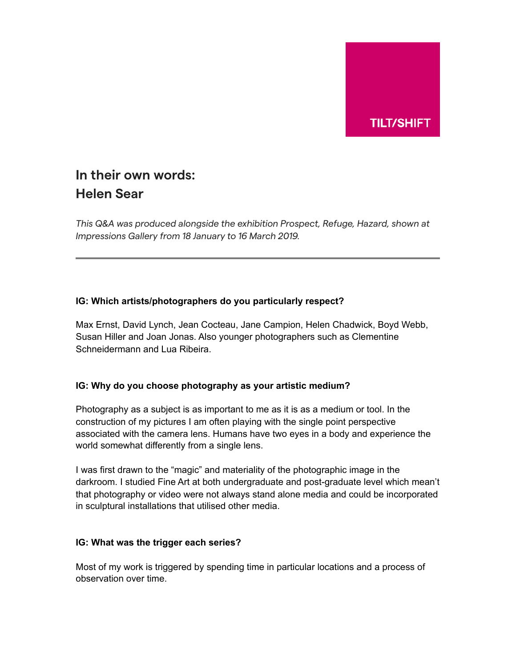

# **In their own words: Helen Sear**

*This Q&A was produced alongside the exhibition Prospect, Refuge, Hazard, shown at Impressions Gallery from 18 January to 16 March 2019.*

## **IG: Which artists/photographers do you particularly respect?**

Max Ernst, David Lynch, Jean Cocteau, Jane Campion, Helen Chadwick, Boyd Webb, Susan Hiller and Joan Jonas. Also younger photographers such as Clementine Schneidermann and Lua Ribeira.

## **IG: Why do you choose photography as your artistic medium?**

Photography as a subject is as important to me as it is as a medium or tool. In the construction of my pictures I am often playing with the single point perspective associated with the camera lens. Humans have two eyes in a body and experience the world somewhat differently from a single lens.

I was first drawn to the "magic" and materiality of the photographic image in the darkroom. I studied Fine Art at both undergraduate and post-graduate level which mean't that photography or video were not always stand alone media and could be incorporated in sculptural installations that utilised other media.

#### **IG: What was the trigger each series?**

Most of my work is triggered by spending time in particular locations and a process of observation over time.